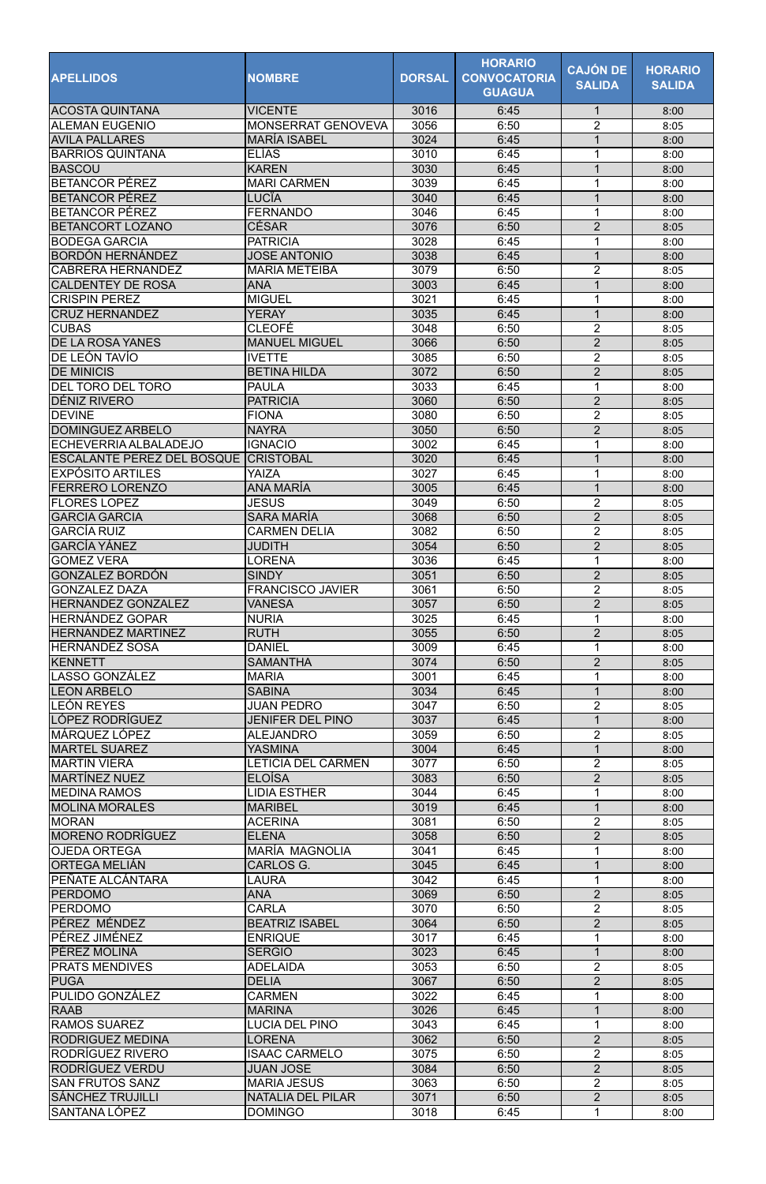| <b>APELLIDOS</b>                                     | <b>NOMBRE</b>                               | <b>DORSAL</b> | <b>HORARIO</b><br><b>CONVOCATORIA</b><br><b>GUAGUA</b> | <b>CAJÓN DE</b><br><b>SALIDA</b> | <b>HORARIO</b><br><b>SALIDA</b> |
|------------------------------------------------------|---------------------------------------------|---------------|--------------------------------------------------------|----------------------------------|---------------------------------|
| ACOSTA QUINTANA                                      | <b>VICENTE</b>                              | 3016          | 6:45                                                   | $\mathbf 1$                      | 8:00                            |
| IALEMAN EUGENIO                                      | <b>MONSERRAT GENOVEVA</b>                   | 3056          | 6:50                                                   | 2                                | 8:05                            |
| <b>AVILA PALLARES</b>                                | <b>MARÍA ISABEL</b>                         | 3024          | 6:45                                                   | 1                                | 8:00                            |
| <b>BARRIOS QUINTANA</b>                              | <b>ELÍAS</b>                                | 3010          | 6:45                                                   |                                  | 8:00                            |
| <b>BASCOU</b><br><b>BETANCOR PÉREZ</b>               | <b>KAREN</b><br><b>MARI CARMEN</b>          | 3030<br>3039  | 6:45<br>6:45                                           | 1                                | 8:00<br>8:00                    |
| <b>BETANCOR PÉREZ</b>                                | <b>LUCÏA</b>                                | 3040          | 6:45                                                   | 1                                | 8:00                            |
| <b>BETANCOR PÉREZ</b>                                | <b>FERNANDO</b>                             | 3046          | 6:45                                                   |                                  | 8:00                            |
| <b>BETANCORT LOZANO</b>                              | CÉSAR                                       | 3076          | 6:50                                                   | $\overline{2}$                   | 8:05                            |
| <b>BODEGA GARCIA</b>                                 | <b>PATRICIA</b>                             | 3028          | 6:45                                                   |                                  | 8:00                            |
| <b>BORDÓN HERNÁNDEZ</b>                              | <b>JOSE ANTONIO</b>                         | 3038          | 6:45                                                   | $\mathbf 1$                      | 8:00                            |
| <b>CABRERA HERNANDEZ</b><br><b>CALDENTEY DE ROSA</b> | <b>MARIA METEIBA</b>                        | 3079          | 6:50                                                   | $\overline{2}$<br>1              | 8:05                            |
| <b>CRISPIN PEREZ</b>                                 | <b>ANA</b><br><b>MIGUEL</b>                 | 3003<br>3021  | 6:45<br>6:45                                           |                                  | 8:00<br>8:00                    |
| <b>CRUZ HERNANDEZ</b>                                | <b>YERAY</b>                                | 3035          | 6:45                                                   | $\overline{1}$                   | 8:00                            |
| <b>CUBAS</b>                                         | <b>CLEOFÉ</b>                               | 3048          | 6:50                                                   | $\overline{2}$                   | 8:05                            |
| <b>DE LA ROSA YANES</b>                              | <b>MANUEL MIGUEL</b>                        | 3066          | 6:50                                                   | $\overline{2}$                   | 8:05                            |
| DE LEÓN TAVÍO                                        | <b>IVETTE</b>                               | 3085          | 6:50                                                   | $\overline{2}$                   | 8:05                            |
| <b>DE MINICIS</b>                                    | <b>BETINA HILDA</b>                         | 3072          | 6:50                                                   | $\overline{2}$                   | 8:05                            |
| <b>DEL TORO DEL TORO</b>                             | <b>PAULA</b>                                | 3033          | 6:45                                                   | 1                                | 8:00                            |
| DÉNIZ RIVERO<br><b>DEVINE</b>                        | <b>PATRICIA</b><br><b>FIONA</b>             | 3060<br>3080  | 6:50<br>6:50                                           | $\overline{2}$<br>$\overline{2}$ | 8:05<br>8:05                    |
| <b>DOMINGUEZ ARBELO</b>                              | <b>NAYRA</b>                                | 3050          | 6:50                                                   | $\overline{2}$                   | 8:05                            |
| ECHEVERRIA ALBALADEJO                                | <b>IGNACIO</b>                              | 3002          | 6:45                                                   |                                  | 8:00                            |
| <b>ESCALANTE PEREZ DEL BOSQUE</b>                    | ICRISTOBAL                                  | 3020          | 6:45                                                   | 1                                | 8:00                            |
| <b>EXPÓSITO ARTILES</b>                              | YAIZA                                       | 3027          | 6:45                                                   | 1                                | 8:00                            |
| <b>FERRERO LORENZO</b>                               | <b>ANA MARÍA</b>                            | 3005          | 6:45                                                   |                                  | 8:00                            |
| <b>FLORES LOPEZ</b>                                  | <b>JESUS</b>                                | 3049          | 6:50                                                   | $\overline{2}$                   | 8:05                            |
| <b>GARCIA GARCIA</b><br><b>GARCÍA RUIZ</b>           | <b>SARA MARÍA</b><br><b>CARMEN DELIA</b>    | 3068<br>3082  | 6:50<br>6:50                                           | $\overline{2}$<br>$\overline{2}$ | 8:05<br>8:05                    |
| <b>GARCÍA YÁNEZ</b>                                  | <b>JUDITH</b>                               | 3054          | 6:50                                                   | $\overline{2}$                   | 8:05                            |
| <b>GOMEZ VERA</b>                                    | <b>LORENA</b>                               | 3036          | 6:45                                                   |                                  | 8:00                            |
| <b>GONZALEZ BORDÓN</b>                               | <b>SINDY</b>                                | 3051          | 6:50                                                   | $\overline{2}$                   | 8:05                            |
| <b>GONZALEZ DAZA</b>                                 | <b>FRANCISCO JAVIER</b>                     | 3061          | 6:50                                                   | $\overline{2}$                   | 8:05                            |
| <b>HERNANDEZ GONZALEZ</b>                            | <b>VANESA</b>                               | 3057          | 6:50                                                   | $\overline{2}$                   | 8:05                            |
| <b>HERNÁNDEZ GOPAR</b><br><b>HERNANDEZ MARTINEZ</b>  | <b>NURIA</b><br><b>RUTH</b>                 | 3025<br>3055  | 6:45<br>6:50                                           | $\overline{2}$                   | 8:00<br>8:05                    |
| <b>HERNÁNDEZ SOSA</b>                                | <b>DANIEL</b>                               | 3009          | 6:45                                                   |                                  | 8:00                            |
| <b>KENNETT</b>                                       | <b>SAMANTHA</b>                             | 3074          | 6:50                                                   | $\overline{2}$                   | 8:05                            |
| LASSO GONZÁLEZ                                       | <b>MARIA</b>                                | 3001          | 6:45                                                   |                                  | 8:00                            |
| <b>LEON ARBELO</b>                                   | <b>SABINA</b>                               | 3034          | 6:45                                                   | $\mathbf 1$                      | 8:00                            |
| <b>LEÓN REYES</b>                                    | <b>JUAN PEDRO</b>                           | 3047          | 6:50                                                   | 2                                | 8:05                            |
| LÓPEZ RODRÍGUEZ<br>MÁRQUEZ LÓPEZ                     | <b>JENIFER DEL PINO</b><br><b>ALEJANDRO</b> | 3037<br>3059  | 6:45<br>6:50                                           | $\mathbf 1$<br>2                 | 8:00<br>8:05                    |
| <b>MARTEL SUAREZ</b>                                 | YASMINA                                     | 3004          | 6:45                                                   | $\mathbf 1$                      | 8:00                            |
| <b>MARTIN VIERA</b>                                  | LETICIA DEL CARMEN                          | 3077          | 6:50                                                   | 2                                | 8:05                            |
| MARTÍNEZ NUEZ                                        | <b>ELOÍSA</b>                               | 3083          | 6:50                                                   | $\overline{2}$                   | 8:05                            |
| <b>MEDINA RAMOS</b>                                  | <b>LIDIA ESTHER</b>                         | 3044          | 6:45                                                   |                                  | 8:00                            |
| <b>MOLINA MORALES</b>                                | <b>MARIBEL</b>                              | 3019          | 6:45                                                   | $\mathbf 1$                      | 8:00                            |
| <b>IMORAN</b><br><b>MORENO RODRÍGUEZ</b>             | <b>ACERINA</b>                              | 3081          | 6:50                                                   | 2                                | 8:05                            |
| <b>OJEDA ORTEGA</b>                                  | <b>ELENA</b><br><b>MARÍA MAGNOLIA</b>       | 3058<br>3041  | 6:50<br>6:45                                           | $\overline{2}$                   | 8:05<br>8:00                    |
| ORTEGA MELIÁN                                        | <b>CARLOS G.</b>                            | 3045          | 6:45                                                   | $\mathbf 1$                      | 8:00                            |
| <b>PEÑATE ALCÁNTARA</b>                              | LAURA                                       | 3042          | 6:45                                                   |                                  | 8:00                            |
| <b>PERDOMO</b>                                       | <b>ANA</b>                                  | 3069          | 6:50                                                   | $\overline{2}$                   | 8:05                            |
| <b>PERDOMO</b>                                       | <b>CARLA</b>                                | 3070          | 6:50                                                   | $\overline{2}$                   | 8:05                            |
| IPÉREZ MÉNDEZ                                        | <b>BEATRIZ ISABEL</b>                       | 3064          | 6:50                                                   | $\overline{2}$                   | 8:05                            |
| PÉREZ JIMÉNEZ <br> PÉREZ MOLINA                      | <b>ENRIQUE</b><br><b>SERGIO</b>             | 3017<br>3023  | 6:45<br>6:45                                           | $\mathbf{1}$                     | 8:00<br>8:00                    |
| <b>PRATS MENDIVES</b>                                | <b>ADELAIDA</b>                             | 3053          | 6:50                                                   | $\overline{2}$                   | 8:05                            |
| <b>PUGA</b>                                          | <b>DELIA</b>                                | 3067          | 6:50                                                   | $\overline{2}$                   | 8:05                            |
| PULIDO GONZÁLEZ                                      | <b>CARMEN</b>                               | 3022          | 6:45                                                   |                                  | 8:00                            |
| <b>RAAB</b>                                          | <b>MARINA</b>                               | 3026          | 6:45                                                   | 1                                | 8:00                            |
| <b>RAMOS SUAREZ</b>                                  | <b>LUCIA DEL PINO</b>                       | 3043          | 6:45                                                   |                                  | 8:00                            |
| <b>RODRIGUEZ MEDINA</b>                              | <b>LORENA</b>                               | 3062          | 6:50                                                   | $\overline{2}$                   | 8:05                            |
| RODRÍGUEZ RIVERO<br>RODRÍGUEZ VERDU                  | <b>ISAAC CARMELO</b><br><b>JUAN JOSE</b>    | 3075<br>3084  | 6:50<br>6:50                                           | $\overline{2}$<br>$\overline{2}$ | 8:05<br>8:05                    |
| <b>SAN FRUTOS SANZ</b>                               | <b>MARIA JESUS</b>                          | 3063          | 6:50                                                   | $\overline{2}$                   | 8:05                            |
| <b>SÁNCHEZ TRUJILLI</b>                              | <b>NATALIA DEL PILAR</b>                    | 3071          | 6:50                                                   | $\overline{2}$                   | 8:05                            |
| SANTANA LÓPEZ                                        | <b>DOMINGO</b>                              | 3018          | 6:45                                                   | 1                                | 8:00                            |